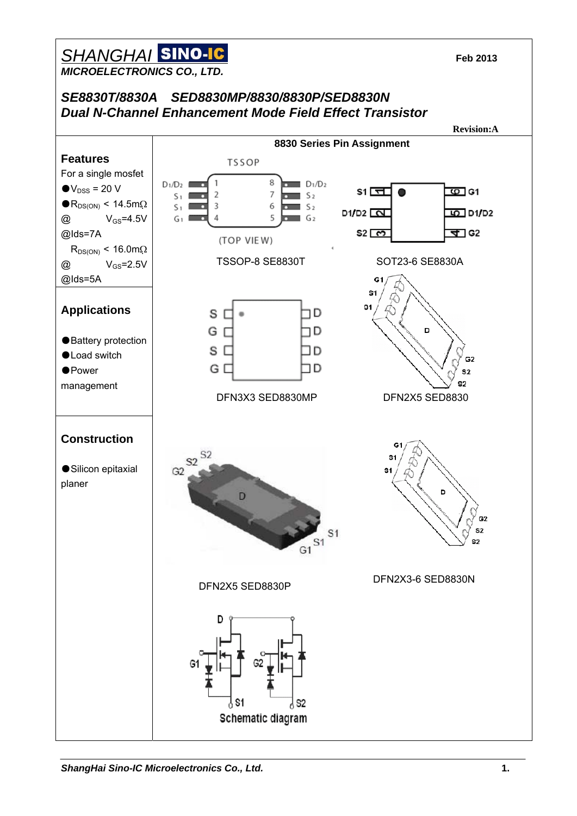#### *SHANGHAI* **Feb 2013**  *MICROELECTRONICS CO., LTD.*

*SE8830T/8830A SED8830MP/8830/8830P/SED8830N Dual N-Channel Enhancement Mode Field Effect Transistor*

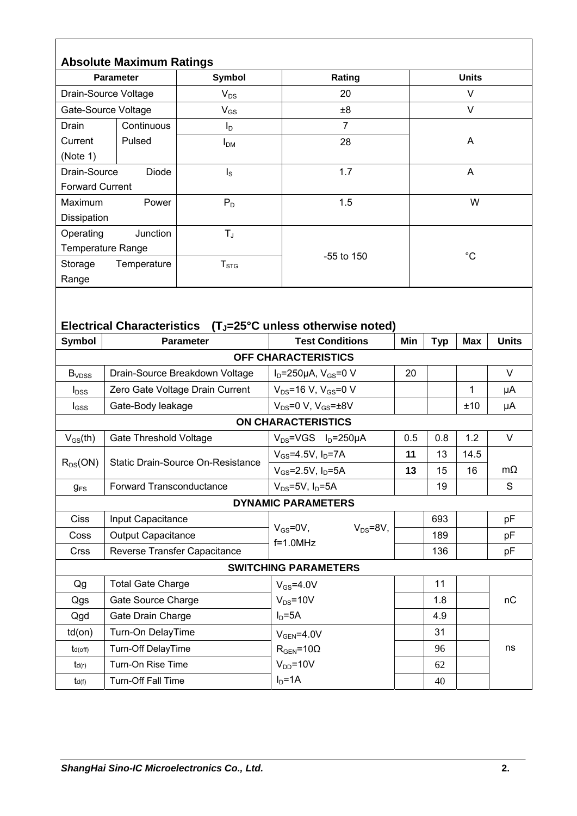|                                                                                                   | <b>Absolute Maximum Ratings</b>   |                                 |                                                   |     |              |            |              |  |
|---------------------------------------------------------------------------------------------------|-----------------------------------|---------------------------------|---------------------------------------------------|-----|--------------|------------|--------------|--|
| <b>Parameter</b>                                                                                  |                                   | <b>Symbol</b>                   | Rating                                            |     | <b>Units</b> |            |              |  |
| Drain-Source Voltage                                                                              |                                   | $V_{DS}$                        | 20                                                |     | V            |            |              |  |
| Gate-Source Voltage                                                                               |                                   | $V_{GS}$                        | ±8                                                |     | $\vee$       |            |              |  |
| Drain                                                                                             | Continuous                        | $I_D$                           | $\overline{7}$                                    |     |              |            |              |  |
| Current                                                                                           | Pulsed                            | I <sub>DM</sub>                 | 28                                                |     | A            |            |              |  |
| (Note 1)                                                                                          |                                   |                                 |                                                   |     |              |            |              |  |
| Drain-Source<br><b>Diode</b>                                                                      |                                   | $I_{\rm S}$                     | 1.7                                               |     | A            |            |              |  |
| <b>Forward Current</b>                                                                            |                                   |                                 |                                                   |     |              |            |              |  |
| Maximum<br>Power                                                                                  |                                   | $P_D$                           | 1.5                                               |     | W            |            |              |  |
| Dissipation                                                                                       |                                   |                                 |                                                   |     |              |            |              |  |
| Junction<br>Operating                                                                             |                                   | $T_{\rm J}$                     |                                                   |     |              |            |              |  |
| Temperature Range                                                                                 |                                   |                                 | -55 to 150                                        |     | $^{\circ}C$  |            |              |  |
| Storage                                                                                           | Temperature                       | T <sub>STG</sub>                |                                                   |     |              |            |              |  |
| Range                                                                                             |                                   |                                 |                                                   |     |              |            |              |  |
| <b>Electrical Characteristics</b><br>(T <sub>J</sub> =25°C unless otherwise noted)                |                                   |                                 |                                                   |     |              |            |              |  |
| <b>Symbol</b>                                                                                     |                                   | <b>Parameter</b>                | <b>Test Conditions</b>                            | Min | <b>Typ</b>   | <b>Max</b> | <b>Units</b> |  |
|                                                                                                   |                                   |                                 | OFF CHARACTERISTICS                               |     |              |            |              |  |
| B <sub>VDSS</sub>                                                                                 |                                   | Drain-Source Breakdown Voltage  | $I_D = 250 \mu A$ , $V_{GS} = 0$ V                | 20  |              |            | V            |  |
| $I_{DSS}$                                                                                         |                                   | Zero Gate Voltage Drain Current | $V_{DS}$ =16 V, V <sub>GS</sub> =0 V              |     |              | 1          | μA           |  |
| $I_{GSS}$                                                                                         | Gate-Body leakage                 |                                 | $V_{DS} = 0 V$ , $V_{GS} = \pm 8V$                |     |              | ±10        | μA           |  |
| <b>ON CHARACTERISTICS</b>                                                                         |                                   |                                 |                                                   |     |              |            |              |  |
| 0.8<br>1.2<br>$V_{GS}$ (th)<br><b>Gate Threshold Voltage</b><br>$V_{DS}$ =VGS $I_D$ =250µA<br>0.5 |                                   |                                 |                                                   |     |              | V          |              |  |
|                                                                                                   | Static Drain-Source On-Resistance |                                 | $V_{GS} = 4.5V, I_D = 7A$                         | 11  | 13           | 14.5       |              |  |
| $R_{DS}(ON)$                                                                                      |                                   |                                 | $V_{GS} = 2.5V, I_D = 5A$                         | 13  | 15           | 16         | $m\Omega$    |  |
| $g_{FS}$                                                                                          | Forward Transconductance          |                                 | $V_{DS}$ =5V, $I_D$ =5A                           |     | 19           |            | S            |  |
| <b>DYNAMIC PARAMETERS</b>                                                                         |                                   |                                 |                                                   |     |              |            |              |  |
| Ciss                                                                                              | Input Capacitance                 |                                 |                                                   |     | 693          |            | pF           |  |
| Coss                                                                                              | <b>Output Capacitance</b>         |                                 | $V_{GS} = 0V$ ,<br>$V_{DS} = 8V$ ,<br>$f=1.0$ MHz |     | 189          |            | pF           |  |
| Crss                                                                                              | Reverse Transfer Capacitance      |                                 |                                                   |     | 136          |            | pF           |  |
|                                                                                                   |                                   |                                 | <b>SWITCHING PARAMETERS</b>                       |     |              |            |              |  |
| Qg                                                                                                | <b>Total Gate Charge</b>          |                                 | $V_{GS} = 4.0V$                                   |     | 11           |            |              |  |
| Qgs                                                                                               | Gate Source Charge                |                                 | $V_{DS} = 10V$                                    |     | 1.8          |            | nC           |  |
| Qgd                                                                                               | Gate Drain Charge                 |                                 | $ID=5A$                                           |     | 4.9          |            |              |  |
| $td($ on $)$                                                                                      | Turn-On DelayTime                 |                                 | $V_{GEN} = 4.0V$                                  |     | 31           |            |              |  |
| $t_{d(off)}$                                                                                      | Turn-Off DelayTime                |                                 | $R_{\text{GEN}} = 10\Omega$                       |     | 96           |            | ns           |  |
| td(r)                                                                                             | Turn-On Rise Time                 |                                 | $V_{DD} = 10V$                                    |     | 62           |            |              |  |
| $t_{d(f)}$                                                                                        | Turn-Off Fall Time                |                                 | $ID=1A$                                           |     | 40           |            |              |  |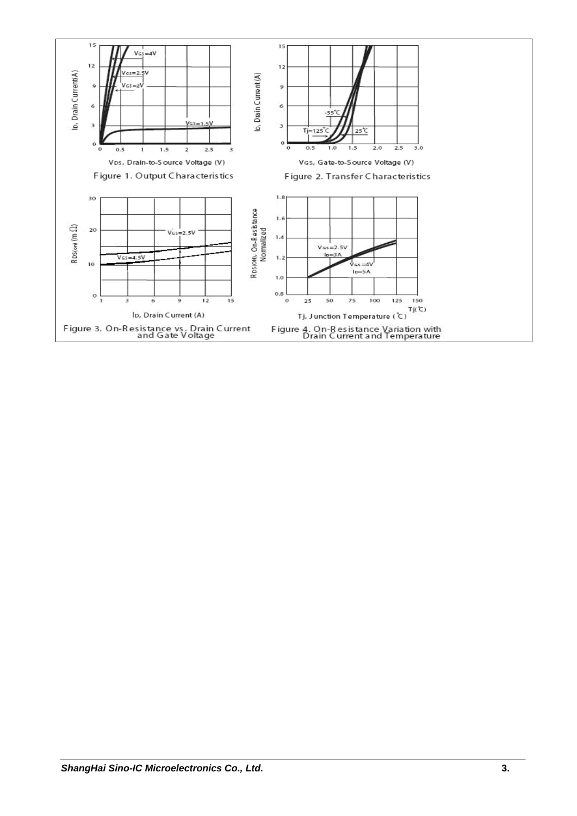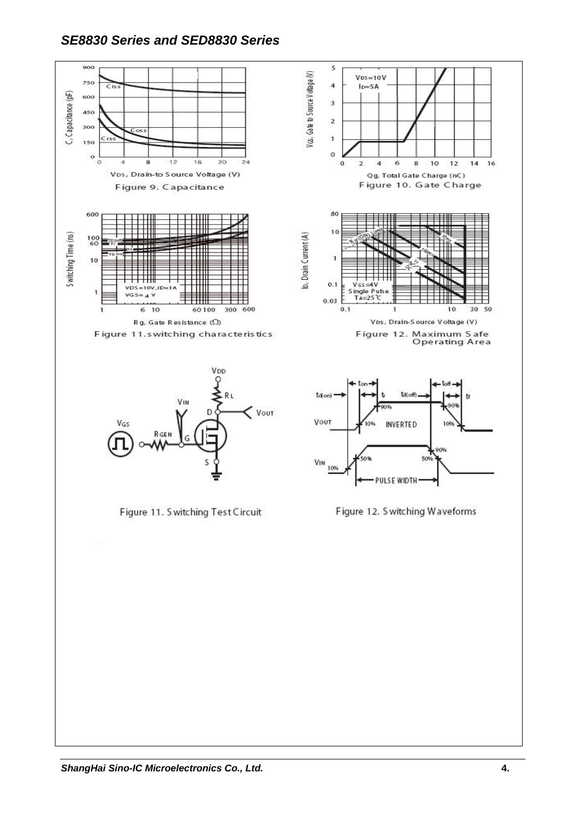#### *SE8830 Series and SED8830 Series*

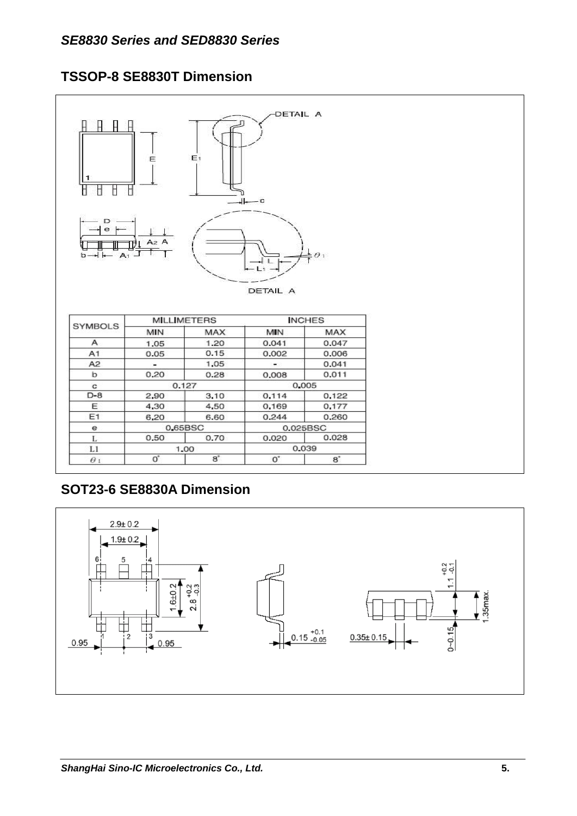#### **TSSOP-8 SE8830T Dimension**



## **SOT23-6 SE8830A Dimension**

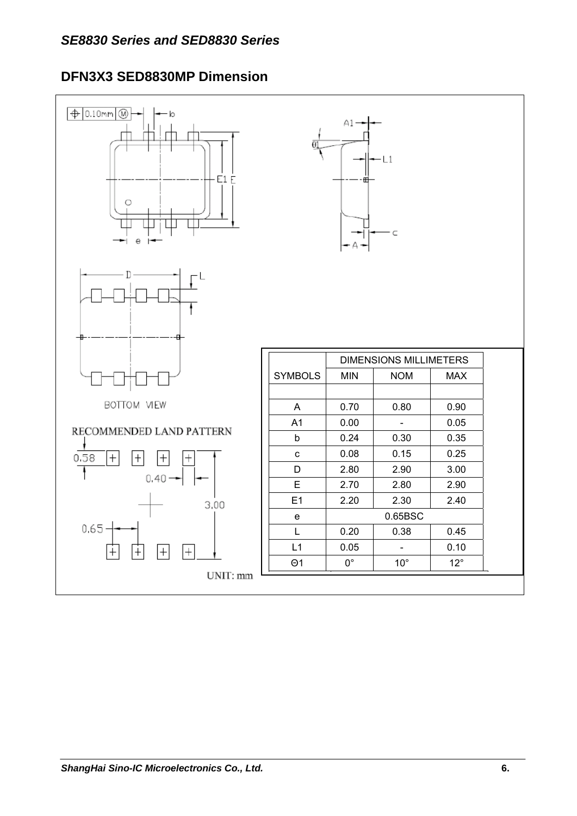# **DFN3X3 SED8830MP Dimension**

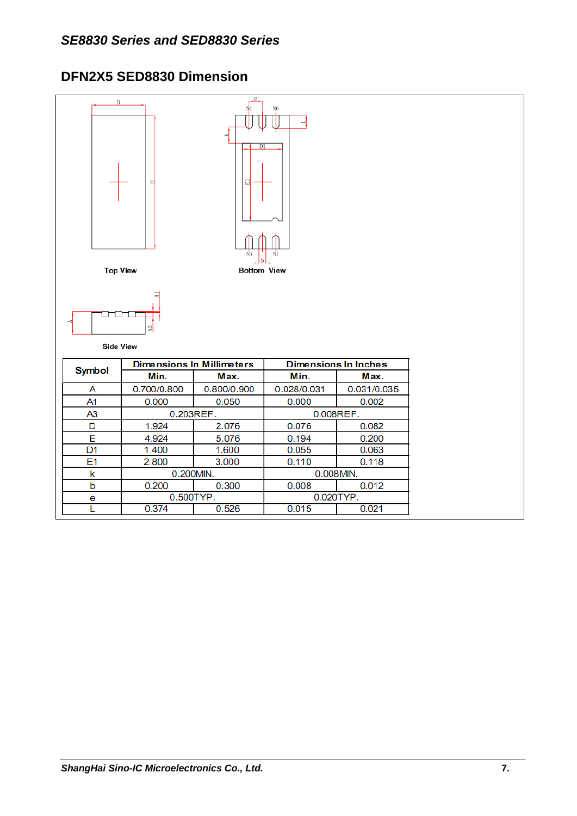## **DFN2X5 SED8830 Dimension**

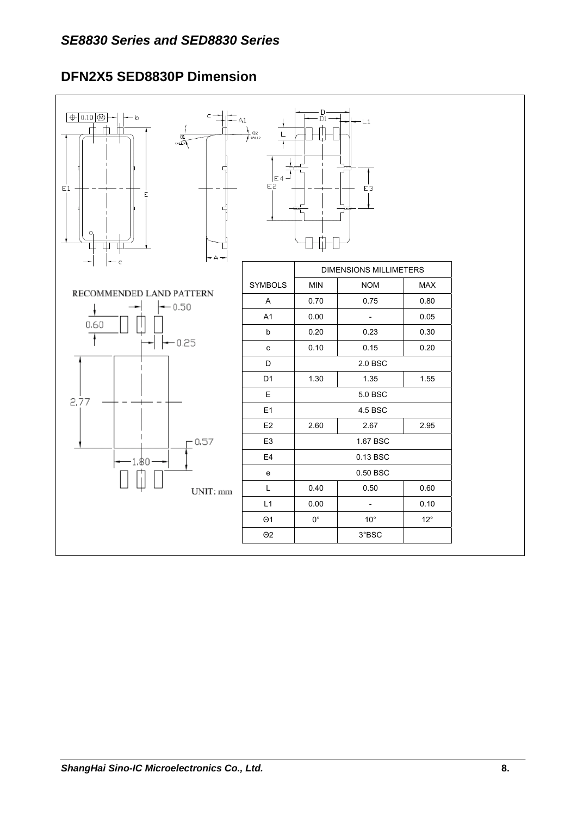# **DFN2X5 SED8830P Dimension**

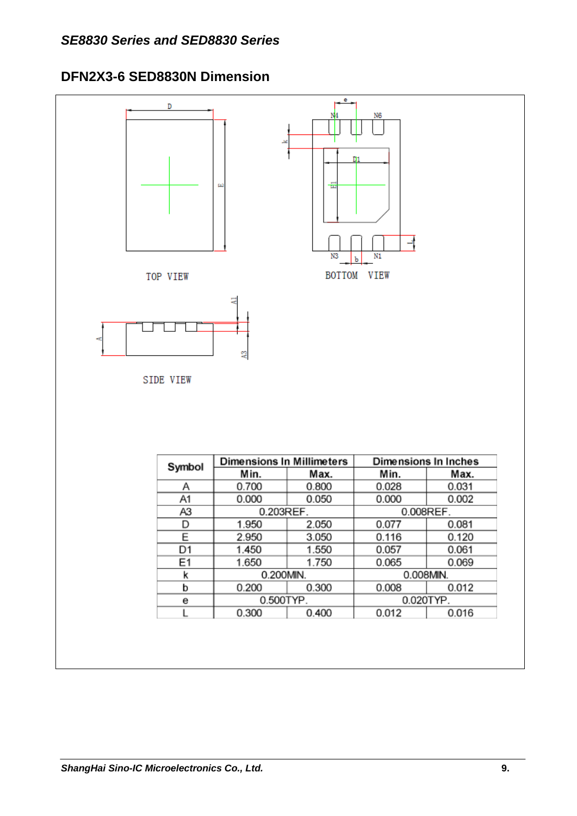### **DFN2X3-6 SED8830N Dimension**